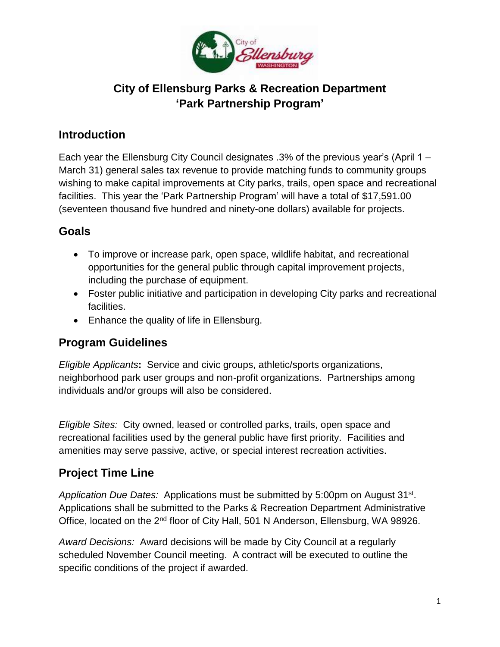

# **City of Ellensburg Parks & Recreation Department 'Park Partnership Program'**

### **Introduction**

Each year the Ellensburg City Council designates .3% of the previous year's (April 1 – March 31) general sales tax revenue to provide matching funds to community groups wishing to make capital improvements at City parks, trails, open space and recreational facilities. This year the 'Park Partnership Program' will have a total of \$17,591.00 (seventeen thousand five hundred and ninety-one dollars) available for projects.

### **Goals**

- To improve or increase park, open space, wildlife habitat, and recreational opportunities for the general public through capital improvement projects, including the purchase of equipment.
- Foster public initiative and participation in developing City parks and recreational facilities.
- Enhance the quality of life in Ellensburg.

### **Program Guidelines**

*Eligible Applicants***:** Service and civic groups, athletic/sports organizations, neighborhood park user groups and non-profit organizations. Partnerships among individuals and/or groups will also be considered.

*Eligible Sites:* City owned, leased or controlled parks, trails, open space and recreational facilities used by the general public have first priority. Facilities and amenities may serve passive, active, or special interest recreation activities.

### **Project Time Line**

Application Due Dates: Applications must be submitted by 5:00pm on August 31<sup>st</sup>. Applications shall be submitted to the Parks & Recreation Department Administrative Office, located on the 2<sup>nd</sup> floor of City Hall, 501 N Anderson, Ellensburg, WA 98926.

*Award Decisions:* Award decisions will be made by City Council at a regularly scheduled November Council meeting. A contract will be executed to outline the specific conditions of the project if awarded.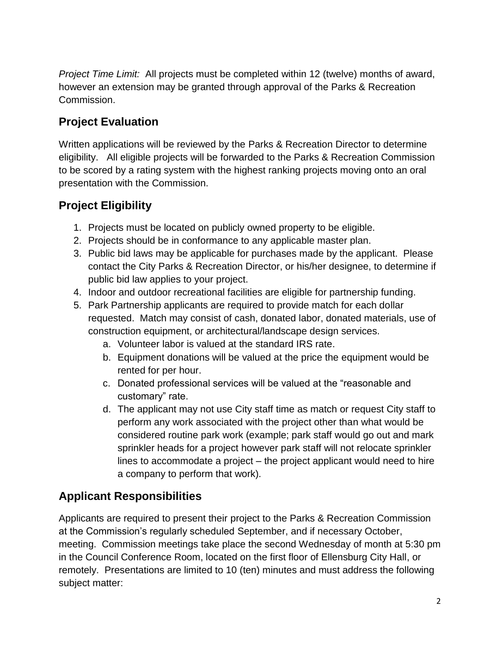*Project Time Limit:* All projects must be completed within 12 (twelve) months of award, however an extension may be granted through approval of the Parks & Recreation Commission.

## **Project Evaluation**

Written applications will be reviewed by the Parks & Recreation Director to determine eligibility. All eligible projects will be forwarded to the Parks & Recreation Commission to be scored by a rating system with the highest ranking projects moving onto an oral presentation with the Commission.

# **Project Eligibility**

- 1. Projects must be located on publicly owned property to be eligible.
- 2. Projects should be in conformance to any applicable master plan.
- 3. Public bid laws may be applicable for purchases made by the applicant. Please contact the City Parks & Recreation Director, or his/her designee, to determine if public bid law applies to your project.
- 4. Indoor and outdoor recreational facilities are eligible for partnership funding.
- 5. Park Partnership applicants are required to provide match for each dollar requested. Match may consist of cash, donated labor, donated materials, use of construction equipment, or architectural/landscape design services.
	- a. Volunteer labor is valued at the standard IRS rate.
	- b. Equipment donations will be valued at the price the equipment would be rented for per hour.
	- c. Donated professional services will be valued at the "reasonable and customary" rate.
	- d. The applicant may not use City staff time as match or request City staff to perform any work associated with the project other than what would be considered routine park work (example; park staff would go out and mark sprinkler heads for a project however park staff will not relocate sprinkler lines to accommodate a project – the project applicant would need to hire a company to perform that work).

# **Applicant Responsibilities**

Applicants are required to present their project to the Parks & Recreation Commission at the Commission's regularly scheduled September, and if necessary October, meeting. Commission meetings take place the second Wednesday of month at 5:30 pm in the Council Conference Room, located on the first floor of Ellensburg City Hall, or remotely. Presentations are limited to 10 (ten) minutes and must address the following subject matter: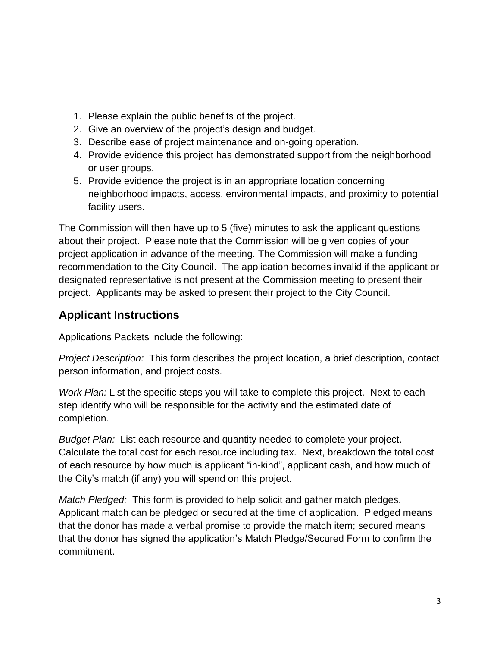- 1. Please explain the public benefits of the project.
- 2. Give an overview of the project's design and budget.
- 3. Describe ease of project maintenance and on-going operation.
- 4. Provide evidence this project has demonstrated support from the neighborhood or user groups.
- 5. Provide evidence the project is in an appropriate location concerning neighborhood impacts, access, environmental impacts, and proximity to potential facility users.

The Commission will then have up to 5 (five) minutes to ask the applicant questions about their project. Please note that the Commission will be given copies of your project application in advance of the meeting. The Commission will make a funding recommendation to the City Council. The application becomes invalid if the applicant or designated representative is not present at the Commission meeting to present their project. Applicants may be asked to present their project to the City Council.

# **Applicant Instructions**

Applications Packets include the following:

*Project Description:* This form describes the project location, a brief description, contact person information, and project costs.

*Work Plan:* List the specific steps you will take to complete this project. Next to each step identify who will be responsible for the activity and the estimated date of completion.

*Budget Plan:* List each resource and quantity needed to complete your project. Calculate the total cost for each resource including tax. Next, breakdown the total cost of each resource by how much is applicant "in-kind", applicant cash, and how much of the City's match (if any) you will spend on this project.

*Match Pledged:* This form is provided to help solicit and gather match pledges. Applicant match can be pledged or secured at the time of application. Pledged means that the donor has made a verbal promise to provide the match item; secured means that the donor has signed the application's Match Pledge/Secured Form to confirm the commitment.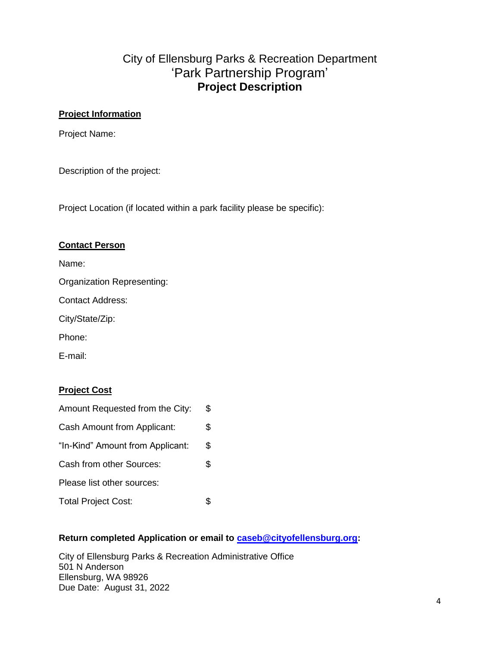### City of Ellensburg Parks & Recreation Department 'Park Partnership Program' **Project Description**

#### **Project Information**

Project Name:

Description of the project:

Project Location (if located within a park facility please be specific):

#### **Contact Person**

Name:

Organization Representing:

Contact Address:

City/State/Zip:

Phone:

E-mail:

#### **Project Cost**

| Amount Requested from the City:  | \$ |
|----------------------------------|----|
| Cash Amount from Applicant:      | \$ |
| "In-Kind" Amount from Applicant: | \$ |
| Cash from other Sources:         | \$ |
| Please list other sources:       |    |
| <b>Total Project Cost:</b>       |    |

#### **Return completed Application or email to [caseb@cityofellensburg.org:](mailto:caseb@cityofellensburg.org)**

City of Ellensburg Parks & Recreation Administrative Office 501 N Anderson Ellensburg, WA 98926 Due Date: August 31, 2022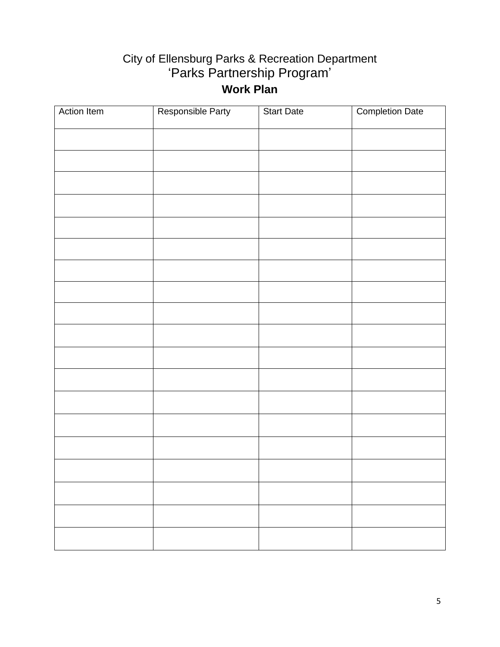# City of Ellensburg Parks & Recreation Department 'Parks Partnership Program' **Work Plan**

| <b>Action Item</b> | Responsible Party | <b>Start Date</b> | <b>Completion Date</b> |
|--------------------|-------------------|-------------------|------------------------|
|                    |                   |                   |                        |
|                    |                   |                   |                        |
|                    |                   |                   |                        |
|                    |                   |                   |                        |
|                    |                   |                   |                        |
|                    |                   |                   |                        |
|                    |                   |                   |                        |
|                    |                   |                   |                        |
|                    |                   |                   |                        |
|                    |                   |                   |                        |
|                    |                   |                   |                        |
|                    |                   |                   |                        |
|                    |                   |                   |                        |
|                    |                   |                   |                        |
|                    |                   |                   |                        |
|                    |                   |                   |                        |
|                    |                   |                   |                        |
|                    |                   |                   |                        |
|                    |                   |                   |                        |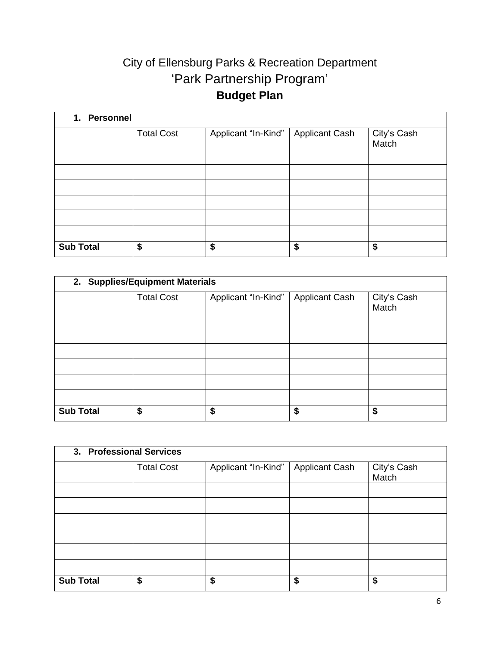# City of Ellensburg Parks & Recreation Department 'Park Partnership Program' **Budget Plan**

| 1. Personnel     |                   |                     |                       |                      |  |  |
|------------------|-------------------|---------------------|-----------------------|----------------------|--|--|
|                  | <b>Total Cost</b> | Applicant "In-Kind" | <b>Applicant Cash</b> | City's Cash<br>Match |  |  |
|                  |                   |                     |                       |                      |  |  |
|                  |                   |                     |                       |                      |  |  |
|                  |                   |                     |                       |                      |  |  |
|                  |                   |                     |                       |                      |  |  |
|                  |                   |                     |                       |                      |  |  |
|                  |                   |                     |                       |                      |  |  |
| <b>Sub Total</b> | \$                | \$                  | \$                    | \$                   |  |  |

| 2. Supplies/Equipment Materials |                   |                     |                       |                      |  |
|---------------------------------|-------------------|---------------------|-----------------------|----------------------|--|
|                                 | <b>Total Cost</b> | Applicant "In-Kind" | <b>Applicant Cash</b> | City's Cash<br>Match |  |
|                                 |                   |                     |                       |                      |  |
|                                 |                   |                     |                       |                      |  |
|                                 |                   |                     |                       |                      |  |
|                                 |                   |                     |                       |                      |  |
|                                 |                   |                     |                       |                      |  |
|                                 |                   |                     |                       |                      |  |
| <b>Sub Total</b>                | \$                | \$                  | \$                    | \$                   |  |

| 3. Professional Services |                   |                     |                       |                      |  |  |
|--------------------------|-------------------|---------------------|-----------------------|----------------------|--|--|
|                          | <b>Total Cost</b> | Applicant "In-Kind" | <b>Applicant Cash</b> | City's Cash<br>Match |  |  |
|                          |                   |                     |                       |                      |  |  |
|                          |                   |                     |                       |                      |  |  |
|                          |                   |                     |                       |                      |  |  |
|                          |                   |                     |                       |                      |  |  |
|                          |                   |                     |                       |                      |  |  |
|                          |                   |                     |                       |                      |  |  |
| <b>Sub Total</b>         | \$                | \$                  | \$                    | \$                   |  |  |